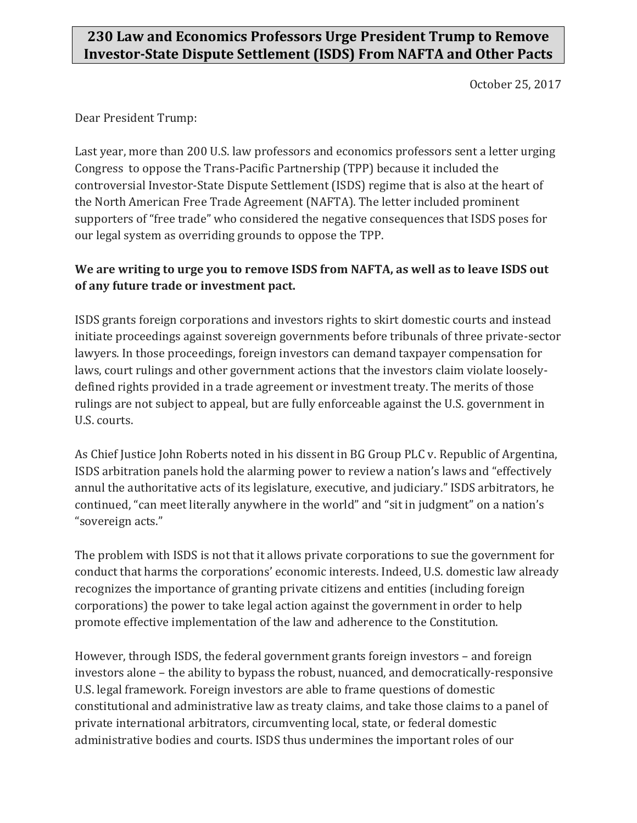## **230 Law and Economics Professors Urge President Trump to Remove Investor-State Dispute Settlement (ISDS) From NAFTA and Other Pacts**

October 25, 2017

Dear President Trump:

Last year, more than 200 U.S. law professors and economics professors sent a letter urging Congress to oppose the Trans-Pacific Partnership (TPP) because it included the controversial Investor-State Dispute Settlement (ISDS) regime that is also at the heart of the North American Free Trade Agreement (NAFTA). The letter included prominent supporters of "free trade" who considered the negative consequences that ISDS poses for our legal system as overriding grounds to oppose the TPP.

## **We are writing to urge you to remove ISDS from NAFTA, as well as to leave ISDS out of any future trade or investment pact.**

ISDS grants foreign corporations and investors rights to skirt domestic courts and instead initiate proceedings against sovereign governments before tribunals of three private-sector lawyers. In those proceedings, foreign investors can demand taxpayer compensation for laws, court rulings and other government actions that the investors claim violate looselydefined rights provided in a trade agreement or investment treaty. The merits of those rulings are not subject to appeal, but are fully enforceable against the U.S. government in U.S. courts.

As Chief Justice John Roberts noted in his dissent in BG Group PLC v. Republic of Argentina, ISDS arbitration panels hold the alarming power to review a nation's laws and "effectively annul the authoritative acts of its legislature, executive, and judiciary." ISDS arbitrators, he continued, "can meet literally anywhere in the world" and "sit in judgment" on a nation's "sovereign acts."

The problem with ISDS is not that it allows private corporations to sue the government for conduct that harms the corporations' economic interests. Indeed, U.S. domestic law already recognizes the importance of granting private citizens and entities (including foreign corporations) the power to take legal action against the government in order to help promote effective implementation of the law and adherence to the Constitution.

However, through ISDS, the federal government grants foreign investors – and foreign investors alone – the ability to bypass the robust, nuanced, and democratically-responsive U.S. legal framework. Foreign investors are able to frame questions of domestic constitutional and administrative law as treaty claims, and take those claims to a panel of private international arbitrators, circumventing local, state, or federal domestic administrative bodies and courts. ISDS thus undermines the important roles of our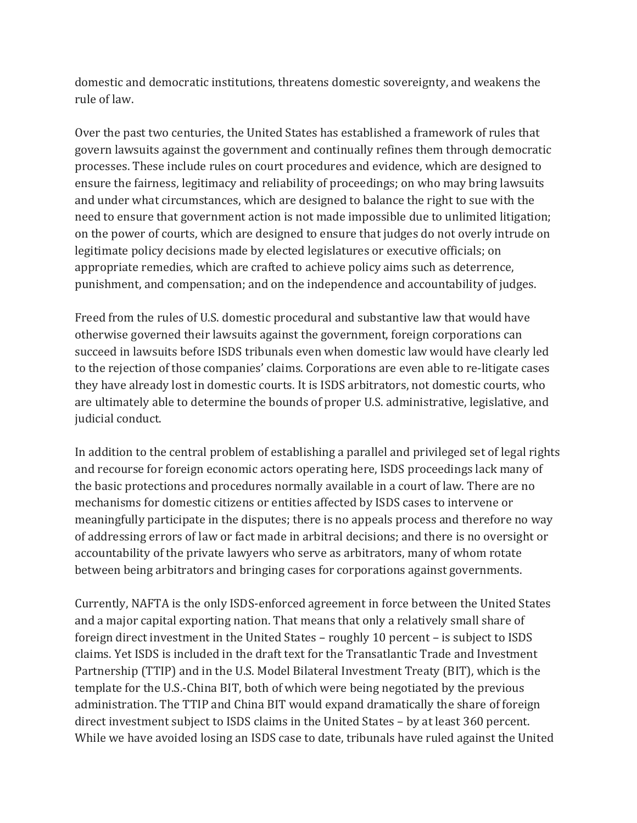domestic and democratic institutions, threatens domestic sovereignty, and weakens the rule of law.

Over the past two centuries, the United States has established a framework of rules that govern lawsuits against the government and continually refines them through democratic processes. These include rules on court procedures and evidence, which are designed to ensure the fairness, legitimacy and reliability of proceedings; on who may bring lawsuits and under what circumstances, which are designed to balance the right to sue with the need to ensure that government action is not made impossible due to unlimited litigation; on the power of courts, which are designed to ensure that judges do not overly intrude on legitimate policy decisions made by elected legislatures or executive officials; on appropriate remedies, which are crafted to achieve policy aims such as deterrence, punishment, and compensation; and on the independence and accountability of judges.

Freed from the rules of U.S. domestic procedural and substantive law that would have otherwise governed their lawsuits against the government, foreign corporations can succeed in lawsuits before ISDS tribunals even when domestic law would have clearly led to the rejection of those companies' claims. Corporations are even able to re-litigate cases they have already lost in domestic courts. It is ISDS arbitrators, not domestic courts, who are ultimately able to determine the bounds of proper U.S. administrative, legislative, and judicial conduct.

In addition to the central problem of establishing a parallel and privileged set of legal rights and recourse for foreign economic actors operating here, ISDS proceedings lack many of the basic protections and procedures normally available in a court of law. There are no mechanisms for domestic citizens or entities affected by ISDS cases to intervene or meaningfully participate in the disputes; there is no appeals process and therefore no way of addressing errors of law or fact made in arbitral decisions; and there is no oversight or accountability of the private lawyers who serve as arbitrators, many of whom rotate between being arbitrators and bringing cases for corporations against governments.

Currently, NAFTA is the only ISDS-enforced agreement in force between the United States and a major capital exporting nation. That means that only a relatively small share of foreign direct investment in the United States – roughly 10 percent – is subject to ISDS claims. Yet ISDS is included in the draft text for the Transatlantic Trade and Investment Partnership (TTIP) and in the U.S. Model Bilateral Investment Treaty (BIT), which is the template for the U.S.-China BIT, both of which were being negotiated by the previous administration. The TTIP and China BIT would expand dramatically the share of foreign direct investment subject to ISDS claims in the United States – by at least 360 percent. While we have avoided losing an ISDS case to date, tribunals have ruled against the United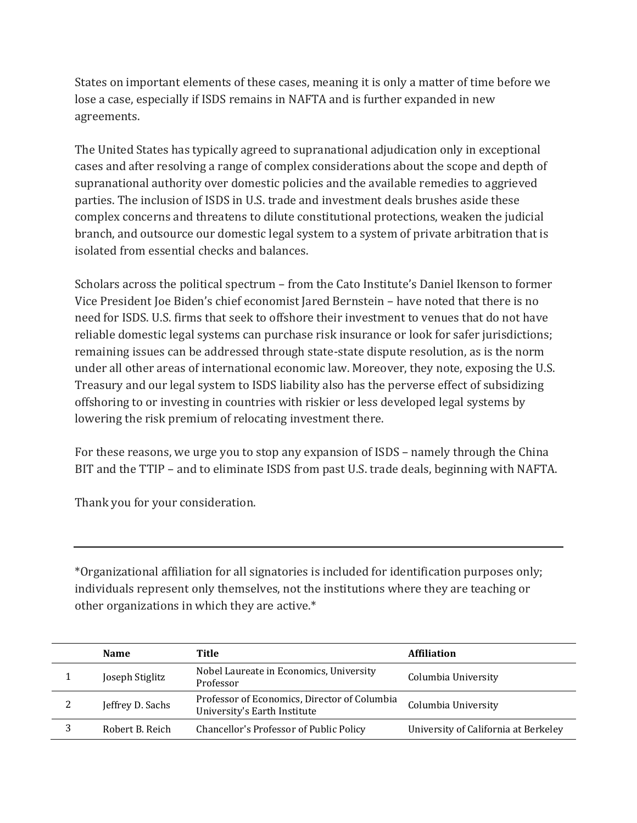States on important elements of these cases, meaning it is only a matter of time before we lose a case, especially if ISDS remains in NAFTA and is further expanded in new agreements.

The United States has typically agreed to supranational adjudication only in exceptional cases and after resolving a range of complex considerations about the scope and depth of supranational authority over domestic policies and the available remedies to aggrieved parties. The inclusion of ISDS in U.S. trade and investment deals brushes aside these complex concerns and threatens to dilute constitutional protections, weaken the judicial branch, and outsource our domestic legal system to a system of private arbitration that is isolated from essential checks and balances.

Scholars across the political spectrum – from the Cato Institute's Daniel Ikenson to former Vice President Joe Biden's chief economist Jared Bernstein – have noted that there is no need for ISDS. U.S. firms that seek to offshore their investment to venues that do not have reliable domestic legal systems can purchase risk insurance or look for safer jurisdictions; remaining issues can be addressed through state-state dispute resolution, as is the norm under all other areas of international economic law. Moreover, they note, exposing the U.S. Treasury and our legal system to ISDS liability also has the perverse effect of subsidizing offshoring to or investing in countries with riskier or less developed legal systems by lowering the risk premium of relocating investment there.

For these reasons, we urge you to stop any expansion of ISDS – namely through the China BIT and the TTIP – and to eliminate ISDS from past U.S. trade deals, beginning with NAFTA.

Thank you for your consideration.

\*Organizational affiliation for all signatories is included for identification purposes only; individuals represent only themselves, not the institutions where they are teaching or other organizations in which they are active.\*

|   | <b>Name</b>      | Title                                                                        | <b>Affiliation</b>                   |
|---|------------------|------------------------------------------------------------------------------|--------------------------------------|
|   | Joseph Stiglitz  | Nobel Laureate in Economics, University<br>Professor                         | Columbia University                  |
| 2 | Jeffrey D. Sachs | Professor of Economics, Director of Columbia<br>University's Earth Institute | Columbia University                  |
|   | Robert B. Reich  | Chancellor's Professor of Public Policy                                      | University of California at Berkeley |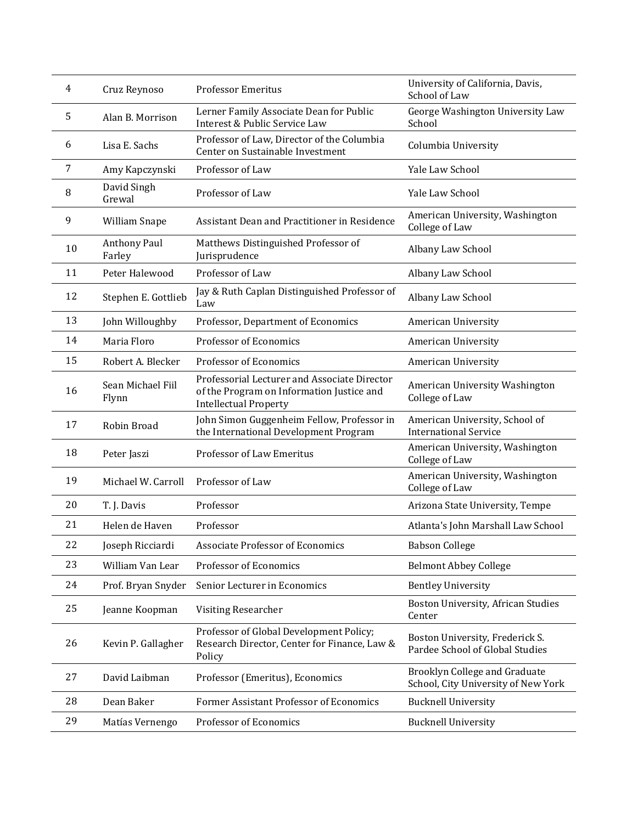| 4  | Cruz Reynoso                  | <b>Professor Emeritus</b>                                                                                                 | University of California, Davis,<br>School of Law                           |
|----|-------------------------------|---------------------------------------------------------------------------------------------------------------------------|-----------------------------------------------------------------------------|
| 5  | Alan B. Morrison              | Lerner Family Associate Dean for Public<br>Interest & Public Service Law                                                  | George Washington University Law<br>School                                  |
| 6  | Lisa E. Sachs                 | Professor of Law, Director of the Columbia<br>Center on Sustainable Investment                                            | Columbia University                                                         |
| 7  | Amy Kapczynski                | Professor of Law                                                                                                          | Yale Law School                                                             |
| 8  | David Singh<br>Grewal         | Professor of Law                                                                                                          | Yale Law School                                                             |
| 9  | William Snape                 | Assistant Dean and Practitioner in Residence                                                                              | American University, Washington<br>College of Law                           |
| 10 | <b>Anthony Paul</b><br>Farley | Matthews Distinguished Professor of<br>Jurisprudence                                                                      | Albany Law School                                                           |
| 11 | Peter Halewood                | Professor of Law                                                                                                          | Albany Law School                                                           |
| 12 | Stephen E. Gottlieb           | Jay & Ruth Caplan Distinguished Professor of<br>Law                                                                       | Albany Law School                                                           |
| 13 | John Willoughby               | Professor, Department of Economics                                                                                        | American University                                                         |
| 14 | Maria Floro                   | Professor of Economics                                                                                                    | American University                                                         |
| 15 | Robert A. Blecker             | Professor of Economics                                                                                                    | American University                                                         |
| 16 | Sean Michael Fiil<br>Flynn    | Professorial Lecturer and Associate Director<br>of the Program on Information Justice and<br><b>Intellectual Property</b> | American University Washington<br>College of Law                            |
| 17 | Robin Broad                   | John Simon Guggenheim Fellow, Professor in<br>the International Development Program                                       | American University, School of<br><b>International Service</b>              |
| 18 | Peter Jaszi                   | Professor of Law Emeritus                                                                                                 | American University, Washington<br>College of Law                           |
| 19 | Michael W. Carroll            | Professor of Law                                                                                                          | American University, Washington<br>College of Law                           |
| 20 | T. J. Davis                   | Professor                                                                                                                 | Arizona State University, Tempe                                             |
| 21 | Helen de Haven                | Professor                                                                                                                 | Atlanta's John Marshall Law School                                          |
| 22 | Joseph Ricciardi              | <b>Associate Professor of Economics</b>                                                                                   | <b>Babson College</b>                                                       |
| 23 | William Van Lear              | Professor of Economics                                                                                                    | <b>Belmont Abbey College</b>                                                |
| 24 | Prof. Bryan Snyder            | Senior Lecturer in Economics                                                                                              | <b>Bentley University</b>                                                   |
| 25 | Jeanne Koopman                | <b>Visiting Researcher</b>                                                                                                | Boston University, African Studies<br>Center                                |
| 26 | Kevin P. Gallagher            | Professor of Global Development Policy;<br>Research Director, Center for Finance, Law &<br>Policy                         | Boston University, Frederick S.<br>Pardee School of Global Studies          |
| 27 | David Laibman                 | Professor (Emeritus), Economics                                                                                           | <b>Brooklyn College and Graduate</b><br>School, City University of New York |
| 28 | Dean Baker                    | Former Assistant Professor of Economics                                                                                   | <b>Bucknell University</b>                                                  |
| 29 | Matías Vernengo               | Professor of Economics                                                                                                    | <b>Bucknell University</b>                                                  |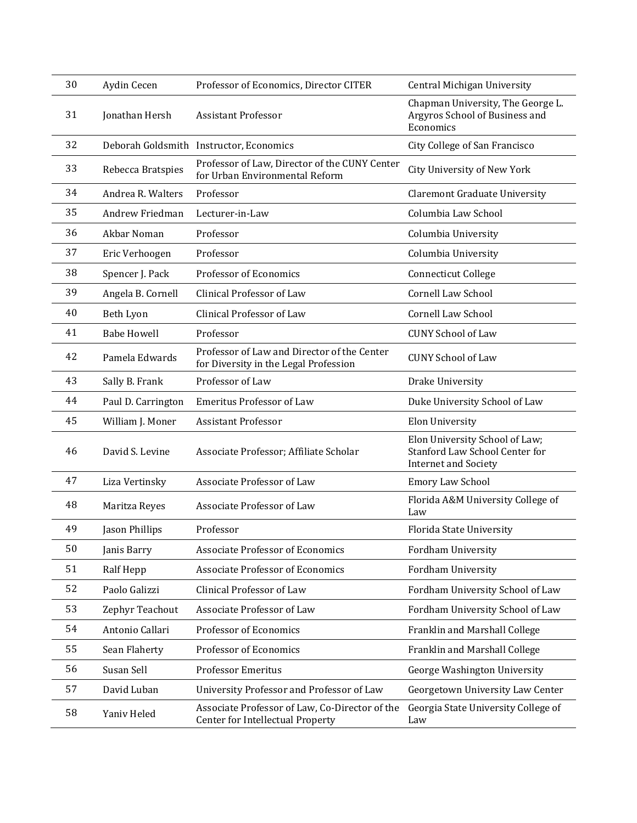| 30 | Aydin Cecen        | Professor of Economics, Director CITER                                               | Central Michigan University                                                                     |
|----|--------------------|--------------------------------------------------------------------------------------|-------------------------------------------------------------------------------------------------|
| 31 | Jonathan Hersh     | <b>Assistant Professor</b>                                                           | Chapman University, The George L.<br>Argyros School of Business and<br>Economics                |
| 32 |                    | Deborah Goldsmith Instructor, Economics                                              | City College of San Francisco                                                                   |
| 33 | Rebecca Bratspies  | Professor of Law, Director of the CUNY Center<br>for Urban Environmental Reform      | City University of New York                                                                     |
| 34 | Andrea R. Walters  | Professor                                                                            | <b>Claremont Graduate University</b>                                                            |
| 35 | Andrew Friedman    | Lecturer-in-Law                                                                      | Columbia Law School                                                                             |
| 36 | Akbar Noman        | Professor                                                                            | Columbia University                                                                             |
| 37 | Eric Verhoogen     | Professor                                                                            | Columbia University                                                                             |
| 38 | Spencer J. Pack    | Professor of Economics                                                               | <b>Connecticut College</b>                                                                      |
| 39 | Angela B. Cornell  | Clinical Professor of Law                                                            | <b>Cornell Law School</b>                                                                       |
| 40 | Beth Lyon          | Clinical Professor of Law                                                            | <b>Cornell Law School</b>                                                                       |
| 41 | <b>Babe Howell</b> | Professor                                                                            | <b>CUNY School of Law</b>                                                                       |
| 42 | Pamela Edwards     | Professor of Law and Director of the Center<br>for Diversity in the Legal Profession | <b>CUNY School of Law</b>                                                                       |
| 43 | Sally B. Frank     | Professor of Law                                                                     | Drake University                                                                                |
| 44 | Paul D. Carrington | <b>Emeritus Professor of Law</b>                                                     | Duke University School of Law                                                                   |
| 45 | William J. Moner   | <b>Assistant Professor</b>                                                           | <b>Elon University</b>                                                                          |
| 46 | David S. Levine    | Associate Professor; Affiliate Scholar                                               | Elon University School of Law;<br>Stanford Law School Center for<br><b>Internet and Society</b> |
| 47 | Liza Vertinsky     | Associate Professor of Law                                                           | Emory Law School                                                                                |
| 48 | Maritza Reyes      | Associate Professor of Law                                                           | Florida A&M University College of<br>Law                                                        |
| 49 | Jason Phillips     | Professor                                                                            | Florida State University                                                                        |
| 50 | Janis Barry        | <b>Associate Professor of Economics</b>                                              | <b>Fordham University</b>                                                                       |
| 51 | Ralf Hepp          | <b>Associate Professor of Economics</b>                                              | Fordham University                                                                              |
| 52 | Paolo Galizzi      | Clinical Professor of Law                                                            | Fordham University School of Law                                                                |
| 53 | Zephyr Teachout    | Associate Professor of Law                                                           | Fordham University School of Law                                                                |
| 54 | Antonio Callari    | Professor of Economics                                                               | Franklin and Marshall College                                                                   |
| 55 | Sean Flaherty      | Professor of Economics                                                               | Franklin and Marshall College                                                                   |
| 56 | Susan Sell         | <b>Professor Emeritus</b>                                                            | George Washington University                                                                    |
| 57 | David Luban        | University Professor and Professor of Law                                            | Georgetown University Law Center                                                                |
| 58 | Yaniv Heled        | Associate Professor of Law, Co-Director of the<br>Center for Intellectual Property   | Georgia State University College of<br>Law                                                      |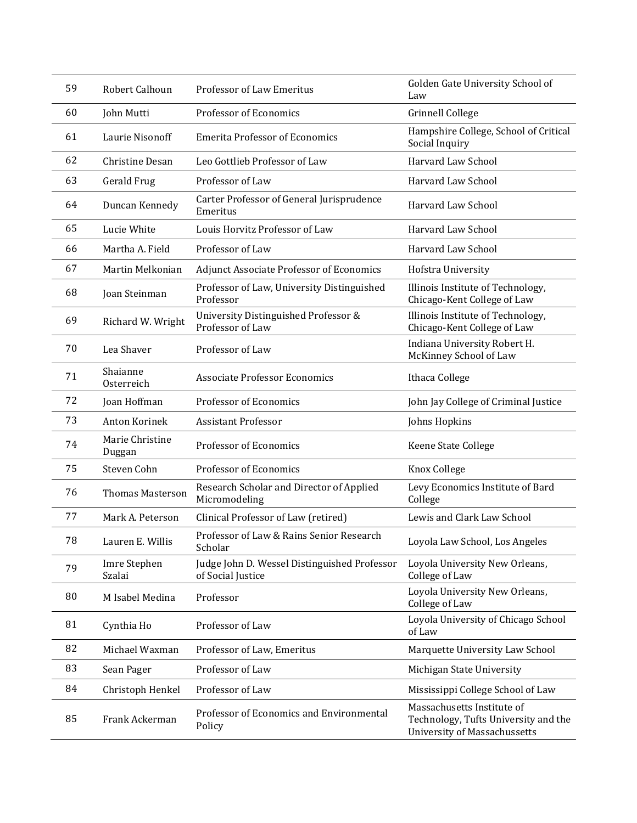| 59 | Robert Calhoun            | Professor of Law Emeritus                                         | Golden Gate University School of<br>Law                                                                   |
|----|---------------------------|-------------------------------------------------------------------|-----------------------------------------------------------------------------------------------------------|
| 60 | John Mutti                | Professor of Economics                                            | <b>Grinnell College</b>                                                                                   |
| 61 | Laurie Nisonoff           | <b>Emerita Professor of Economics</b>                             | Hampshire College, School of Critical<br>Social Inquiry                                                   |
| 62 | Christine Desan           | Leo Gottlieb Professor of Law                                     | Harvard Law School                                                                                        |
| 63 | Gerald Frug               | Professor of Law                                                  | Harvard Law School                                                                                        |
| 64 | Duncan Kennedy            | Carter Professor of General Jurisprudence<br>Emeritus             | Harvard Law School                                                                                        |
| 65 | Lucie White               | Louis Horvitz Professor of Law                                    | Harvard Law School                                                                                        |
| 66 | Martha A. Field           | Professor of Law                                                  | Harvard Law School                                                                                        |
| 67 | Martin Melkonian          | <b>Adjunct Associate Professor of Economics</b>                   | Hofstra University                                                                                        |
| 68 | Joan Steinman             | Professor of Law, University Distinguished<br>Professor           | Illinois Institute of Technology,<br>Chicago-Kent College of Law                                          |
| 69 | Richard W. Wright         | University Distinguished Professor &<br>Professor of Law          | Illinois Institute of Technology,<br>Chicago-Kent College of Law                                          |
| 70 | Lea Shaver                | Professor of Law                                                  | Indiana University Robert H.<br>McKinney School of Law                                                    |
| 71 | Shaianne<br>Osterreich    | <b>Associate Professor Economics</b>                              | Ithaca College                                                                                            |
| 72 | Joan Hoffman              | Professor of Economics                                            | John Jay College of Criminal Justice                                                                      |
| 73 | Anton Korinek             | <b>Assistant Professor</b>                                        | Johns Hopkins                                                                                             |
| 74 | Marie Christine<br>Duggan | Professor of Economics                                            | Keene State College                                                                                       |
| 75 | Steven Cohn               | Professor of Economics                                            | Knox College                                                                                              |
| 76 | <b>Thomas Masterson</b>   | Research Scholar and Director of Applied<br>Micromodeling         | Levy Economics Institute of Bard<br>College                                                               |
| 77 | Mark A. Peterson          | Clinical Professor of Law (retired)                               | Lewis and Clark Law School                                                                                |
| 78 | Lauren E. Willis          | Professor of Law & Rains Senior Research<br>Scholar               | Loyola Law School, Los Angeles                                                                            |
| 79 | Imre Stephen<br>Szalai    | Judge John D. Wessel Distinguished Professor<br>of Social Justice | Loyola University New Orleans,<br>College of Law                                                          |
| 80 | M Isabel Medina           | Professor                                                         | Loyola University New Orleans,<br>College of Law                                                          |
| 81 | Cynthia Ho                | Professor of Law                                                  | Loyola University of Chicago School<br>of Law                                                             |
| 82 | Michael Waxman            | Professor of Law, Emeritus                                        | Marquette University Law School                                                                           |
| 83 | Sean Pager                | Professor of Law                                                  | Michigan State University                                                                                 |
| 84 | Christoph Henkel          | Professor of Law                                                  | Mississippi College School of Law                                                                         |
| 85 | Frank Ackerman            | Professor of Economics and Environmental<br>Policy                | Massachusetts Institute of<br>Technology, Tufts University and the<br><b>University of Massachussetts</b> |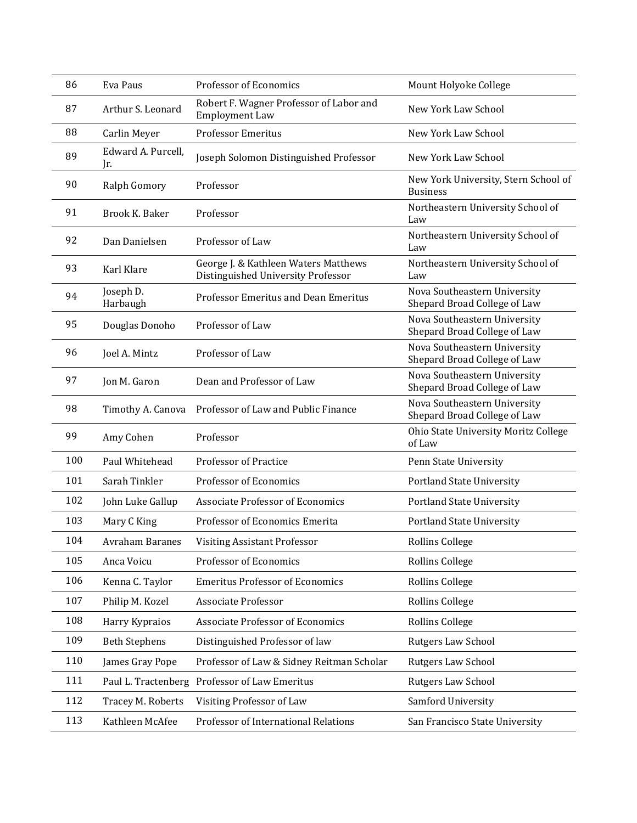| 86  | Eva Paus                  | Professor of Economics                                                     | Mount Holyoke College                                        |
|-----|---------------------------|----------------------------------------------------------------------------|--------------------------------------------------------------|
| 87  | Arthur S. Leonard         | Robert F. Wagner Professor of Labor and<br><b>Employment Law</b>           | New York Law School                                          |
| 88  | Carlin Meyer              | <b>Professor Emeritus</b>                                                  | New York Law School                                          |
| 89  | Edward A. Purcell,<br>Ir. | Joseph Solomon Distinguished Professor                                     | New York Law School                                          |
| 90  | Ralph Gomory              | Professor                                                                  | New York University, Stern School of<br><b>Business</b>      |
| 91  | Brook K. Baker            | Professor                                                                  | Northeastern University School of<br>Law                     |
| 92  | Dan Danielsen             | Professor of Law                                                           | Northeastern University School of<br>Law                     |
| 93  | Karl Klare                | George J. & Kathleen Waters Matthews<br>Distinguished University Professor | Northeastern University School of<br>Law                     |
| 94  | Joseph D.<br>Harbaugh     | Professor Emeritus and Dean Emeritus                                       | Nova Southeastern University<br>Shepard Broad College of Law |
| 95  | Douglas Donoho            | Professor of Law                                                           | Nova Southeastern University<br>Shepard Broad College of Law |
| 96  | Joel A. Mintz             | Professor of Law                                                           | Nova Southeastern University<br>Shepard Broad College of Law |
| 97  | Jon M. Garon              | Dean and Professor of Law                                                  | Nova Southeastern University<br>Shepard Broad College of Law |
| 98  | Timothy A. Canova         | Professor of Law and Public Finance                                        | Nova Southeastern University<br>Shepard Broad College of Law |
| 99  | Amy Cohen                 | Professor                                                                  | Ohio State University Moritz College<br>of Law               |
| 100 | Paul Whitehead            | Professor of Practice                                                      | Penn State University                                        |
| 101 | Sarah Tinkler             | Professor of Economics                                                     | <b>Portland State University</b>                             |
| 102 | John Luke Gallup          | <b>Associate Professor of Economics</b>                                    | <b>Portland State University</b>                             |
| 103 | Mary C King               | Professor of Economics Emerita                                             | <b>Portland State University</b>                             |
| 104 | Avraham Baranes           | <b>Visiting Assistant Professor</b>                                        | Rollins College                                              |
| 105 | Anca Voicu                | Professor of Economics                                                     | Rollins College                                              |
| 106 | Kenna C. Taylor           | <b>Emeritus Professor of Economics</b>                                     | <b>Rollins College</b>                                       |
| 107 | Philip M. Kozel           | Associate Professor                                                        | <b>Rollins College</b>                                       |
| 108 | Harry Kypraios            | <b>Associate Professor of Economics</b>                                    | <b>Rollins College</b>                                       |
| 109 | <b>Beth Stephens</b>      | Distinguished Professor of law                                             | Rutgers Law School                                           |
| 110 | James Gray Pope           | Professor of Law & Sidney Reitman Scholar                                  | Rutgers Law School                                           |
| 111 | Paul L. Tractenberg       | Professor of Law Emeritus                                                  | Rutgers Law School                                           |
| 112 | Tracey M. Roberts         | Visiting Professor of Law                                                  | Samford University                                           |
| 113 | Kathleen McAfee           | Professor of International Relations                                       | San Francisco State University                               |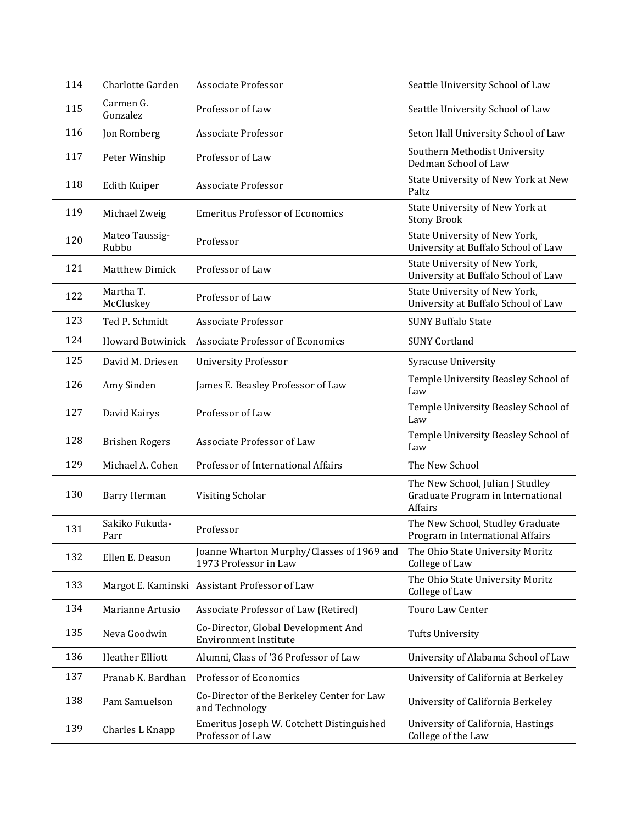| 114 | Charlotte Garden        | <b>Associate Professor</b>                                          | Seattle University School of Law                                                 |
|-----|-------------------------|---------------------------------------------------------------------|----------------------------------------------------------------------------------|
| 115 | Carmen G.<br>Gonzalez   | Professor of Law                                                    | Seattle University School of Law                                                 |
| 116 | Jon Romberg             | Associate Professor                                                 | Seton Hall University School of Law                                              |
| 117 | Peter Winship           | Professor of Law                                                    | Southern Methodist University<br>Dedman School of Law                            |
| 118 | <b>Edith Kuiper</b>     | Associate Professor                                                 | State University of New York at New<br>Paltz                                     |
| 119 | Michael Zweig           | <b>Emeritus Professor of Economics</b>                              | State University of New York at<br><b>Stony Brook</b>                            |
| 120 | Mateo Taussig-<br>Rubbo | Professor                                                           | State University of New York,<br>University at Buffalo School of Law             |
| 121 | <b>Matthew Dimick</b>   | Professor of Law                                                    | State University of New York,<br>University at Buffalo School of Law             |
| 122 | Martha T.<br>McCluskey  | Professor of Law                                                    | State University of New York,<br>University at Buffalo School of Law             |
| 123 | Ted P. Schmidt          | Associate Professor                                                 | <b>SUNY Buffalo State</b>                                                        |
| 124 | <b>Howard Botwinick</b> | <b>Associate Professor of Economics</b>                             | <b>SUNY Cortland</b>                                                             |
| 125 | David M. Driesen        | <b>University Professor</b>                                         | <b>Syracuse University</b>                                                       |
| 126 | Amy Sinden              | James E. Beasley Professor of Law                                   | Temple University Beasley School of<br>Law                                       |
| 127 | David Kairys            | Professor of Law                                                    | Temple University Beasley School of<br>Law                                       |
| 128 | <b>Brishen Rogers</b>   | Associate Professor of Law                                          | Temple University Beasley School of<br>Law                                       |
| 129 | Michael A. Cohen        | Professor of International Affairs                                  | The New School                                                                   |
| 130 | Barry Herman            | Visiting Scholar                                                    | The New School, Julian J Studley<br>Graduate Program in International<br>Affairs |
| 131 | Sakiko Fukuda-<br>Parr  | Professor                                                           | The New School, Studley Graduate<br>Program in International Affairs             |
| 132 | Ellen E. Deason         | Joanne Wharton Murphy/Classes of 1969 and<br>1973 Professor in Law  | The Ohio State University Moritz<br>College of Law                               |
| 133 |                         | Margot E. Kaminski Assistant Professor of Law                       | The Ohio State University Moritz<br>College of Law                               |
| 134 | Marianne Artusio        | Associate Professor of Law (Retired)                                | Touro Law Center                                                                 |
| 135 | Neva Goodwin            | Co-Director, Global Development And<br><b>Environment Institute</b> | <b>Tufts University</b>                                                          |
| 136 | <b>Heather Elliott</b>  | Alumni, Class of '36 Professor of Law                               | University of Alabama School of Law                                              |
| 137 | Pranab K. Bardhan       | Professor of Economics                                              | University of California at Berkeley                                             |
| 138 | Pam Samuelson           | Co-Director of the Berkeley Center for Law<br>and Technology        | University of California Berkeley                                                |
| 139 | Charles L Knapp         | Emeritus Joseph W. Cotchett Distinguished<br>Professor of Law       | University of California, Hastings<br>College of the Law                         |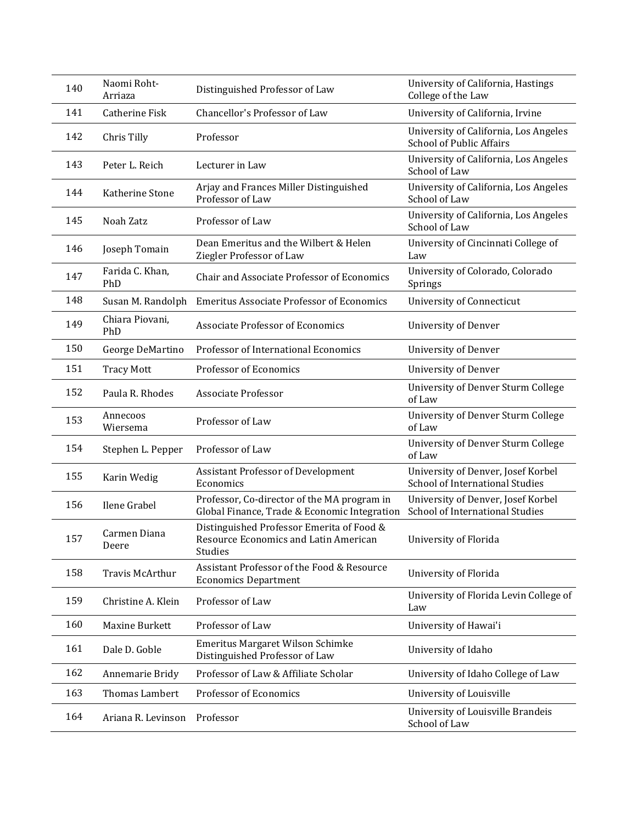| 140 | Naomi Roht-<br>Arriaza | Distinguished Professor of Law                                                                | University of California, Hastings<br>College of the Law                 |
|-----|------------------------|-----------------------------------------------------------------------------------------------|--------------------------------------------------------------------------|
| 141 | Catherine Fisk         | Chancellor's Professor of Law                                                                 | University of California, Irvine                                         |
| 142 | Chris Tilly            | Professor                                                                                     | University of California, Los Angeles<br><b>School of Public Affairs</b> |
| 143 | Peter L. Reich         | Lecturer in Law                                                                               | University of California, Los Angeles<br>School of Law                   |
| 144 | Katherine Stone        | Arjay and Frances Miller Distinguished<br>Professor of Law                                    | University of California, Los Angeles<br>School of Law                   |
| 145 | Noah Zatz              | Professor of Law                                                                              | University of California, Los Angeles<br>School of Law                   |
| 146 | Joseph Tomain          | Dean Emeritus and the Wilbert & Helen<br>Ziegler Professor of Law                             | University of Cincinnati College of<br>Law                               |
| 147 | Farida C. Khan,<br>PhD | Chair and Associate Professor of Economics                                                    | University of Colorado, Colorado<br>Springs                              |
| 148 | Susan M. Randolph      | <b>Emeritus Associate Professor of Economics</b>                                              | <b>University of Connecticut</b>                                         |
| 149 | Chiara Piovani,<br>PhD | <b>Associate Professor of Economics</b>                                                       | <b>University of Denver</b>                                              |
| 150 | George DeMartino       | Professor of International Economics                                                          | <b>University of Denver</b>                                              |
| 151 | <b>Tracy Mott</b>      | Professor of Economics                                                                        | <b>University of Denver</b>                                              |
| 152 | Paula R. Rhodes        | <b>Associate Professor</b>                                                                    | University of Denver Sturm College<br>of Law                             |
| 153 | Annecoos<br>Wiersema   | Professor of Law                                                                              | University of Denver Sturm College<br>of Law                             |
| 154 | Stephen L. Pepper      | Professor of Law                                                                              | University of Denver Sturm College<br>of Law                             |
| 155 | Karin Wedig            | Assistant Professor of Development<br>Economics                                               | University of Denver, Josef Korbel<br>School of International Studies    |
| 156 | Ilene Grabel           | Professor, Co-director of the MA program in<br>Global Finance, Trade & Economic Integration   | University of Denver, Josef Korbel<br>School of International Studies    |
| 157 | Carmen Diana<br>Deere  | Distinguished Professor Emerita of Food &<br>Resource Economics and Latin American<br>Studies | University of Florida                                                    |
| 158 | Travis McArthur        | Assistant Professor of the Food & Resource<br><b>Economics Department</b>                     | University of Florida                                                    |
| 159 | Christine A. Klein     | Professor of Law                                                                              | University of Florida Levin College of<br>Law                            |
| 160 | Maxine Burkett         | Professor of Law                                                                              | University of Hawai'i                                                    |
| 161 | Dale D. Goble          | Emeritus Margaret Wilson Schimke<br>Distinguished Professor of Law                            | University of Idaho                                                      |
| 162 | Annemarie Bridy        | Professor of Law & Affiliate Scholar                                                          | University of Idaho College of Law                                       |
| 163 | Thomas Lambert         | Professor of Economics                                                                        | University of Louisville                                                 |
| 164 | Ariana R. Levinson     | Professor                                                                                     | University of Louisville Brandeis<br>School of Law                       |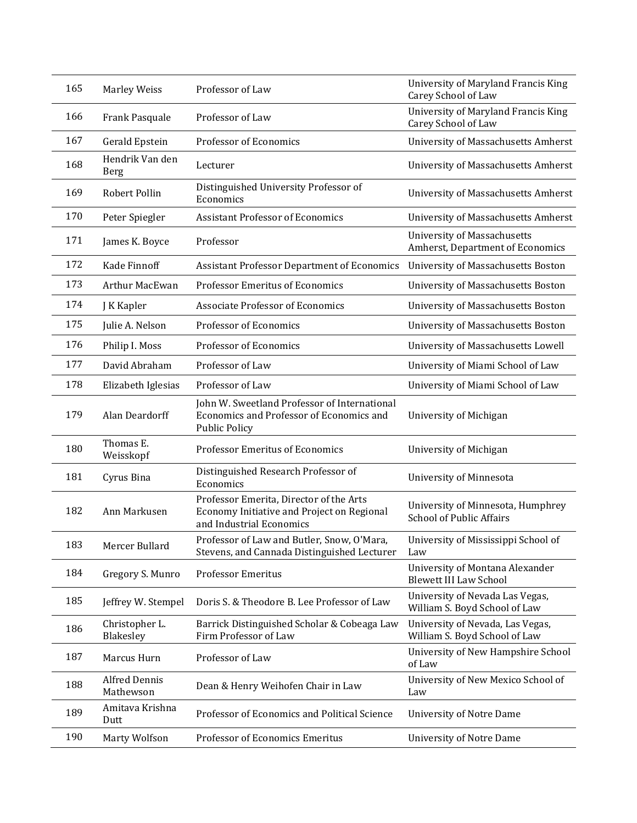| 165 | <b>Marley Weiss</b>               | Professor of Law                                                                                                  | University of Maryland Francis King<br>Carey School of Law             |
|-----|-----------------------------------|-------------------------------------------------------------------------------------------------------------------|------------------------------------------------------------------------|
| 166 | Frank Pasquale                    | Professor of Law                                                                                                  | University of Maryland Francis King<br>Carey School of Law             |
| 167 | Gerald Epstein                    | Professor of Economics                                                                                            | University of Massachusetts Amherst                                    |
| 168 | Hendrik Van den<br><b>Berg</b>    | Lecturer                                                                                                          | University of Massachusetts Amherst                                    |
| 169 | Robert Pollin                     | Distinguished University Professor of<br>Economics                                                                | University of Massachusetts Amherst                                    |
| 170 | Peter Spiegler                    | <b>Assistant Professor of Economics</b>                                                                           | University of Massachusetts Amherst                                    |
| 171 | James K. Boyce                    | Professor                                                                                                         | <b>University of Massachusetts</b><br>Amherst, Department of Economics |
| 172 | Kade Finnoff                      | <b>Assistant Professor Department of Economics</b>                                                                | University of Massachusetts Boston                                     |
| 173 | <b>Arthur MacEwan</b>             | Professor Emeritus of Economics                                                                                   | University of Massachusetts Boston                                     |
| 174 | J K Kapler                        | Associate Professor of Economics                                                                                  | University of Massachusetts Boston                                     |
| 175 | Julie A. Nelson                   | Professor of Economics                                                                                            | University of Massachusetts Boston                                     |
| 176 | Philip I. Moss                    | Professor of Economics                                                                                            | University of Massachusetts Lowell                                     |
| 177 | David Abraham                     | Professor of Law                                                                                                  | University of Miami School of Law                                      |
| 178 | Elizabeth Iglesias                | Professor of Law                                                                                                  | University of Miami School of Law                                      |
| 179 | Alan Deardorff                    | John W. Sweetland Professor of International<br>Economics and Professor of Economics and<br><b>Public Policy</b>  | University of Michigan                                                 |
| 180 | Thomas E.<br>Weisskopf            | Professor Emeritus of Economics                                                                                   | University of Michigan                                                 |
| 181 | Cyrus Bina                        | Distinguished Research Professor of<br>Economics                                                                  | University of Minnesota                                                |
| 182 | Ann Markusen                      | Professor Emerita, Director of the Arts<br>Economy Initiative and Project on Regional<br>and Industrial Economics | University of Minnesota, Humphrey<br><b>School of Public Affairs</b>   |
| 183 | Mercer Bullard                    | Professor of Law and Butler, Snow, O'Mara<br>Stevens, and Cannada Distinguished Lecturer                          | University of Mississippi School of<br>Law                             |
| 184 | Gregory S. Munro                  | <b>Professor Emeritus</b>                                                                                         | University of Montana Alexander<br><b>Blewett III Law School</b>       |
| 185 | Jeffrey W. Stempel                | Doris S. & Theodore B. Lee Professor of Law                                                                       | University of Nevada Las Vegas,<br>William S. Boyd School of Law       |
| 186 | Christopher L.<br>Blakesley       | Barrick Distinguished Scholar & Cobeaga Law<br>Firm Professor of Law                                              | University of Nevada, Las Vegas,<br>William S. Boyd School of Law      |
| 187 | Marcus Hurn                       | Professor of Law                                                                                                  | University of New Hampshire School<br>of Law                           |
| 188 | <b>Alfred Dennis</b><br>Mathewson | Dean & Henry Weihofen Chair in Law                                                                                | University of New Mexico School of<br>Law                              |
| 189 | Amitava Krishna<br>Dutt           | Professor of Economics and Political Science                                                                      | <b>University of Notre Dame</b>                                        |
| 190 | Marty Wolfson                     | Professor of Economics Emeritus                                                                                   | <b>University of Notre Dame</b>                                        |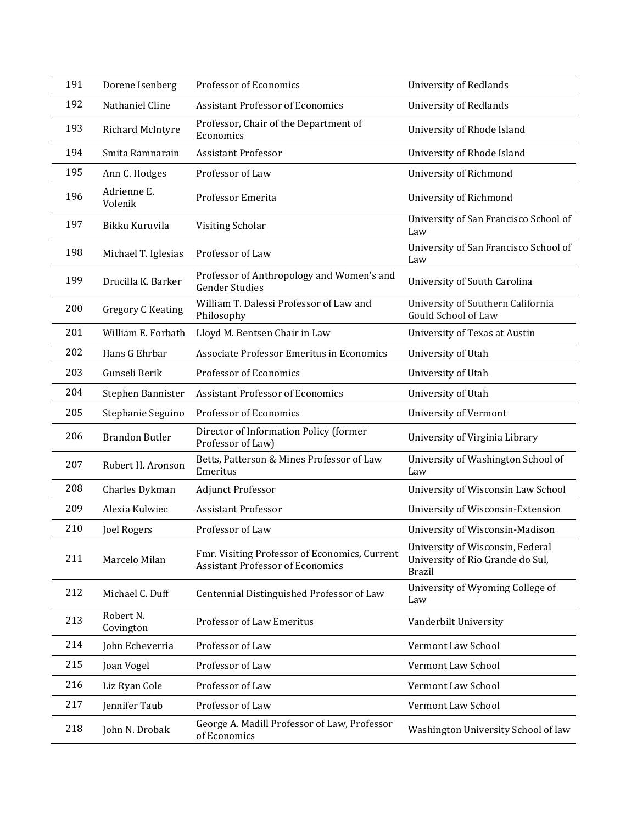| 191 | Dorene Isenberg          | Professor of Economics                                                                   | <b>University of Redlands</b>                                                         |
|-----|--------------------------|------------------------------------------------------------------------------------------|---------------------------------------------------------------------------------------|
| 192 | Nathaniel Cline          | <b>Assistant Professor of Economics</b>                                                  | <b>University of Redlands</b>                                                         |
| 193 | Richard McIntyre         | Professor, Chair of the Department of<br>Economics                                       | University of Rhode Island                                                            |
| 194 | Smita Ramnarain          | <b>Assistant Professor</b>                                                               | University of Rhode Island                                                            |
| 195 | Ann C. Hodges            | Professor of Law                                                                         | University of Richmond                                                                |
| 196 | Adrienne E.<br>Volenik   | Professor Emerita                                                                        | University of Richmond                                                                |
| 197 | Bikku Kuruvila           | Visiting Scholar                                                                         | University of San Francisco School of<br>Law                                          |
| 198 | Michael T. Iglesias      | Professor of Law                                                                         | University of San Francisco School of<br>Law                                          |
| 199 | Drucilla K. Barker       | Professor of Anthropology and Women's and<br><b>Gender Studies</b>                       | University of South Carolina                                                          |
| 200 | <b>Gregory C Keating</b> | William T. Dalessi Professor of Law and<br>Philosophy                                    | University of Southern California<br>Gould School of Law                              |
| 201 | William E. Forbath       | Lloyd M. Bentsen Chair in Law                                                            | University of Texas at Austin                                                         |
| 202 | Hans G Ehrbar            | Associate Professor Emeritus in Economics                                                | University of Utah                                                                    |
| 203 | Gunseli Berik            | Professor of Economics                                                                   | University of Utah                                                                    |
| 204 | Stephen Bannister        | <b>Assistant Professor of Economics</b>                                                  | University of Utah                                                                    |
| 205 | Stephanie Seguino        | Professor of Economics                                                                   | <b>University of Vermont</b>                                                          |
| 206 | <b>Brandon Butler</b>    | Director of Information Policy (former<br>Professor of Law)                              | University of Virginia Library                                                        |
| 207 | Robert H. Aronson        | Betts, Patterson & Mines Professor of Law<br>Emeritus                                    | University of Washington School of<br>Law                                             |
| 208 | Charles Dykman           | <b>Adjunct Professor</b>                                                                 | University of Wisconsin Law School                                                    |
| 209 | Alexia Kulwiec           | <b>Assistant Professor</b>                                                               | University of Wisconsin-Extension                                                     |
| 210 | Joel Rogers              | Professor of Law                                                                         | University of Wisconsin-Madison                                                       |
| 211 | Marcelo Milan            | Fmr. Visiting Professor of Economics, Current<br><b>Assistant Professor of Economics</b> | University of Wisconsin, Federal<br>University of Rio Grande do Sul,<br><b>Brazil</b> |
| 212 | Michael C. Duff          | Centennial Distinguished Professor of Law                                                | University of Wyoming College of<br>Law                                               |
| 213 | Robert N.<br>Covington   | Professor of Law Emeritus                                                                | Vanderbilt University                                                                 |
| 214 | John Echeverria          | Professor of Law                                                                         | Vermont Law School                                                                    |
| 215 | Joan Vogel               | Professor of Law                                                                         | Vermont Law School                                                                    |
|     |                          |                                                                                          |                                                                                       |
| 216 | Liz Ryan Cole            | Professor of Law                                                                         | Vermont Law School                                                                    |
| 217 | Jennifer Taub            | Professor of Law                                                                         | Vermont Law School                                                                    |